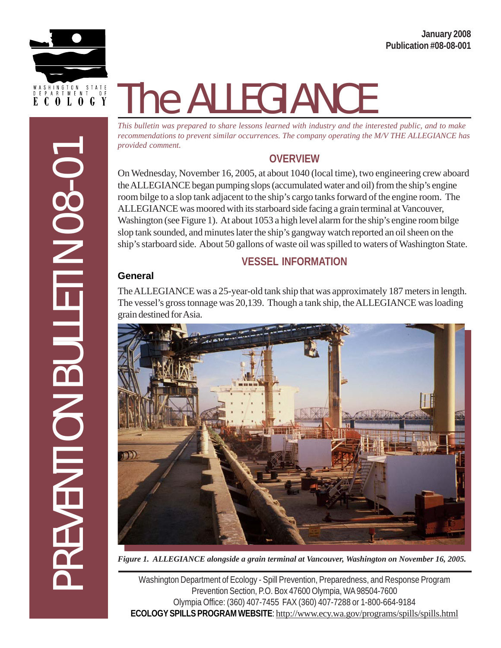PREVENTION BULLETIN 08-01

**REVENTION BULLETIN 08-07** 

# The ALLEGIANCE

*This bulletin was prepared to share lessons learned with industry and the interested public, and to make recommendations to prevent similar occurrences. The company operating the M/V THE ALLEGIANCE has provided comment.*

# **OVERVIEW**

On Wednesday, November 16, 2005, at about 1040 (local time), two engineering crew aboard the ALLEGIANCE began pumping slops (accumulated water and oil) from the ship's engine room bilge to a slop tank adjacent to the ship's cargo tanks forward of the engine room. The ALLEGIANCE was moored with its starboard side facing a grain terminal at Vancouver, Washington (see Figure 1). At about 1053 a high level alarm for the ship's engine room bilge slop tank sounded, and minutes later the ship's gangway watch reported an oil sheen on the ship's starboard side. About 50 gallons of waste oil was spilled to waters of Washington State.

# **VESSEL INFORMATION**

#### **General**

The ALLEGIANCE was a 25-year-old tank ship that was approximately 187 meters in length. The vessel's gross tonnage was 20,139. Though a tank ship, the ALLEGIANCE was loading grain destined for Asia.



*Figure 1. ALLEGIANCE alongside a grain terminal at Vancouver, Washington on November 16, 2005.*

Washington Department of Ecology - Spill Prevention, Preparedness, and Response Program Prevention Section, P.O. Box 47600 Olympia, WA 98504-7600 Olympia Office: (360) 407-7455 FAX (360) 407-7288 or 1-800-664-9184 **ECOLOGY SPILLS PROGRAM WEBSITE**: http://www.ecy.wa.gov/programs/spills/spills.html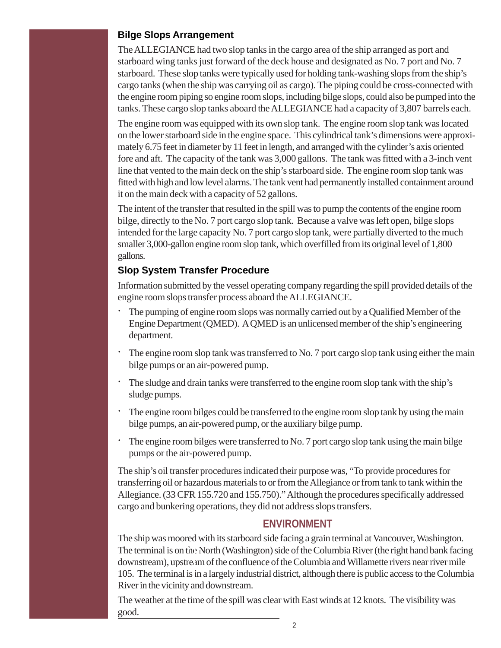#### **Bilge Slops Arrangement**

The ALLEGIANCE had two slop tanks in the cargo area of the ship arranged as port and starboard wing tanks just forward of the deck house and designated as No. 7 port and No. 7 starboard. These slop tanks were typically used for holding tank-washing slops from the ship's cargo tanks (when the ship was carrying oil as cargo). The piping could be cross-connected with the engine room piping so engine room slops, including bilge slops, could also be pumped into the tanks. These cargo slop tanks aboard the ALLEGIANCE had a capacity of 3,807 barrels each.

The engine room was equipped with its own slop tank. The engine room slop tank was located on the lower starboard side in the engine space. This cylindrical tank's dimensions were approximately 6.75 feet in diameter by 11 feet in length, and arranged with the cylinder's axis oriented fore and aft. The capacity of the tank was 3,000 gallons. The tank was fitted with a 3-inch vent line that vented to the main deck on the ship's starboard side. The engine room slop tank was fitted with high and low level alarms. The tank vent had permanently installed containment around it on the main deck with a capacity of 52 gallons.

The intent of the transfer that resulted in the spill was to pump the contents of the engine room bilge, directly to the No. 7 port cargo slop tank. Because a valve was left open, bilge slops intended for the large capacity No. 7 port cargo slop tank, were partially diverted to the much smaller 3,000-gallon engine room slop tank, which overfilled from its original level of 1,800 gallons.

#### **Slop System Transfer Procedure**

Information submitted by the vessel operating company regarding the spill provided details of the engine room slops transfer process aboard the ALLEGIANCE.

- · The pumping of engine room slops was normally carried out by a Qualified Member of the Engine Department (QMED). A QMED is an unlicensed member of the ship's engineering department.
- · The engine room slop tank was transferred to No. 7 port cargo slop tank using either the main bilge pumps or an air-powered pump.
- · The sludge and drain tanks were transferred to the engine room slop tank with the ship's sludge pumps.
- · The engine room bilges could be transferred to the engine room slop tank by using the main bilge pumps, an air-powered pump, or the auxiliary bilge pump.
- · The engine room bilges were transferred to No. 7 port cargo slop tank using the main bilge pumps or the air-powered pump.

The ship's oil transfer procedures indicated their purpose was, "To provide procedures for transferring oil or hazardous materials to or from the Allegiance or from tank to tank within the Allegiance. (33 CFR 155.720 and 155.750)." Although the procedures specifically addressed cargo and bunkering operations, they did not address slops transfers.

# **ENVIRONMENT**

The ship was moored with its starboard side facing a grain terminal at Vancouver, Washington. The terminal is on the North (Washington) side of the Columbia River (the right hand bank facing downstream), upstream of the confluence of the Columbia and Willamette rivers near river mile 105. The terminal is in a largely industrial district, although there is public access to the Columbia River in the vicinity and downstream.

The weather at the time of the spill was clear with East winds at 12 knots. The visibility was good.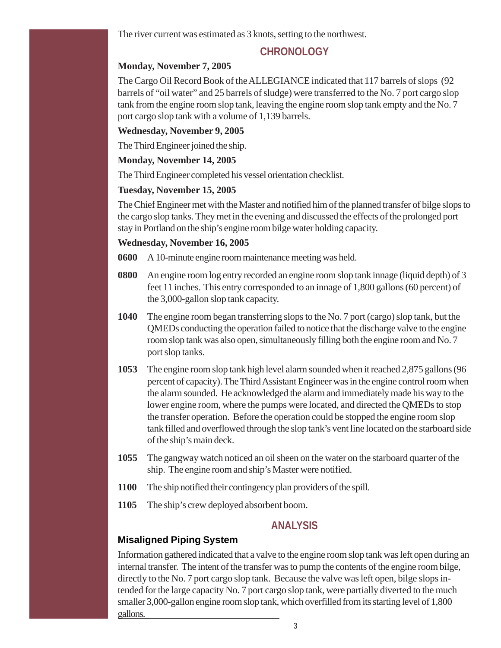The river current was estimated as 3 knots, setting to the northwest.

#### **CHRONOLOGY**

#### **Monday, November 7, 2005**

The Cargo Oil Record Book of the ALLEGIANCE indicated that 117 barrels of slops (92 barrels of "oil water" and 25 barrels of sludge) were transferred to the No. 7 port cargo slop tank from the engine room slop tank, leaving the engine room slop tank empty and the No. 7 port cargo slop tank with a volume of 1,139 barrels.

#### **Wednesday, November 9, 2005**

The Third Engineer joined the ship.

#### **Monday, November 14, 2005**

The Third Engineer completed his vessel orientation checklist.

#### **Tuesday, November 15, 2005**

The Chief Engineer met with the Master and notified him of the planned transfer of bilge slops to the cargo slop tanks. They met in the evening and discussed the effects of the prolonged port stay in Portland on the ship's engine room bilge water holding capacity.

#### **Wednesday, November 16, 2005**

**0600** A 10-minute engine room maintenance meeting was held.

- **0800** An engine room log entry recorded an engine room slop tank innage (liquid depth) of 3 feet 11 inches. This entry corresponded to an innage of 1,800 gallons (60 percent) of the 3,000-gallon slop tank capacity.
- **1040** The engine room began transferring slops to the No. 7 port (cargo) slop tank, but the QMEDs conducting the operation failed to notice that the discharge valve to the engine room slop tank was also open, simultaneously filling both the engine room and No. 7 port slop tanks.
- **1053** The engine room slop tank high level alarm sounded when it reached 2,875 gallons (96 percent of capacity). The Third Assistant Engineer was in the engine control room when the alarm sounded. He acknowledged the alarm and immediately made his way to the lower engine room, where the pumps were located, and directed the QMEDs to stop the transfer operation. Before the operation could be stopped the engine room slop tank filled and overflowed through the slop tank's vent line located on the starboard side of the ship's main deck.
- **1055** The gangway watch noticed an oil sheen on the water on the starboard quarter of the ship. The engine room and ship's Master were notified.
- **1100** The ship notified their contingency plan providers of the spill.
- **1105** The ship's crew deployed absorbent boom.

# **ANALYSIS**

# **Misaligned Piping System**

Information gathered indicated that a valve to the engine room slop tank was left open during an internal transfer. The intent of the transfer was to pump the contents of the engine room bilge, directly to the No. 7 port cargo slop tank. Because the valve was left open, bilge slops intended for the large capacity No. 7 port cargo slop tank, were partially diverted to the much smaller 3,000-gallon engine room slop tank, which overfilled from its starting level of 1,800 gallons.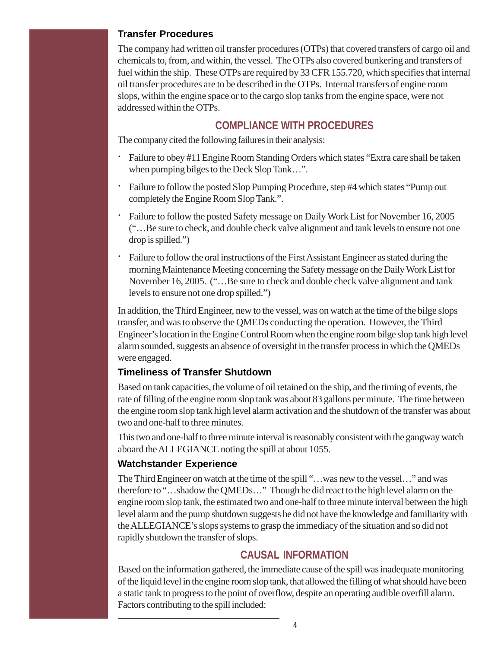#### **Transfer Procedures**

The company had written oil transfer procedures (OTPs) that covered transfers of cargo oil and chemicals to, from, and within, the vessel. The OTPs also covered bunkering and transfers of fuel within the ship. These OTPs are required by 33 CFR 155.720, which specifies that internal oil transfer procedures are to be described in the OTPs. Internal transfers of engine room slops, within the engine space or to the cargo slop tanks from the engine space, were not addressed within the OTPs.

# **COMPLIANCE WITH PROCEDURES**

The company cited the following failures in their analysis:

- · Failure to obey #11 Engine Room Standing Orders which states "Extra care shall be taken when pumping bilges to the Deck Slop Tank…".
- · Failure to follow the posted Slop Pumping Procedure, step #4 which states "Pump out completely the Engine Room Slop Tank.".
- · Failure to follow the posted Safety message on Daily Work List for November 16, 2005 ("…Be sure to check, and double check valve alignment and tank levels to ensure not one drop is spilled.")
- Failure to follow the oral instructions of the First Assistant Engineer as stated during the morning Maintenance Meeting concerning the Safety message on the Daily Work List for November 16, 2005. ("…Be sure to check and double check valve alignment and tank levels to ensure not one drop spilled.")

In addition, the Third Engineer, new to the vessel, was on watch at the time of the bilge slops transfer, and was to observe the QMEDs conducting the operation. However, the Third Engineer's location in the Engine Control Room when the engine room bilge slop tank high level alarm sounded, suggests an absence of oversight in the transfer process in which the QMEDs were engaged.

#### **Timeliness of Transfer Shutdown**

Based on tank capacities, the volume of oil retained on the ship, and the timing of events, the rate of filling of the engine room slop tank was about 83 gallons per minute. The time between the engine room slop tank high level alarm activation and the shutdown of the transfer was about two and one-half to three minutes.

This two and one-half to three minute interval is reasonably consistent with the gangway watch aboard the ALLEGIANCE noting the spill at about 1055.

#### **Watchstander Experience**

The Third Engineer on watch at the time of the spill "…was new to the vessel…" and was therefore to "…shadow the QMEDs…" Though he did react to the high level alarm on the engine room slop tank, the estimated two and one-half to three minute interval between the high level alarm and the pump shutdown suggests he did not have the knowledge and familiarity with the ALLEGIANCE's slops systems to grasp the immediacy of the situation and so did not rapidly shutdown the transfer of slops.

# **CAUSAL INFORMATION**

Based on the information gathered, the immediate cause of the spill was inadequate monitoring of the liquid level in the engine room slop tank, that allowed the filling of what should have been a static tank to progress to the point of overflow, despite an operating audible overfill alarm. Factors contributing to the spill included: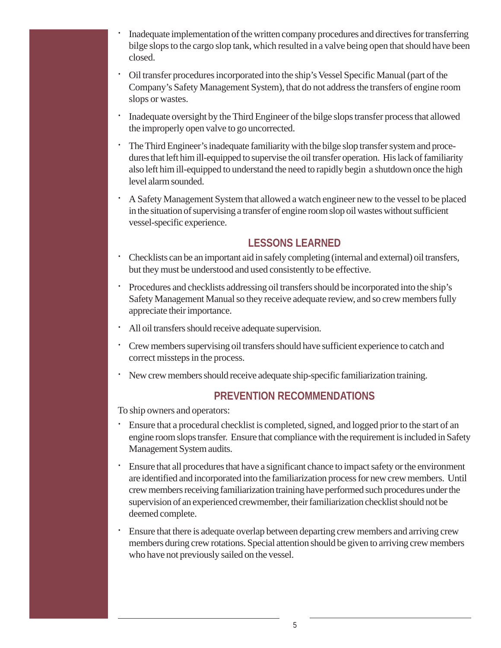- · Inadequate implementation of the written company procedures and directives for transferring bilge slops to the cargo slop tank, which resulted in a valve being open that should have been closed.
- · Oil transfer procedures incorporated into the ship's Vessel Specific Manual (part of the Company's Safety Management System), that do not address the transfers of engine room slops or wastes.
- · Inadequate oversight by the Third Engineer of the bilge slops transfer process that allowed the improperly open valve to go uncorrected.
- · The Third Engineer's inadequate familiarity with the bilge slop transfer system and procedures that left him ill-equipped to supervise the oil transfer operation. His lack of familiarity also left him ill-equipped to understand the need to rapidly begin a shutdown once the high level alarm sounded.
- · A Safety Management System that allowed a watch engineer new to the vessel to be placed in the situation of supervising a transfer of engine room slop oil wastes without sufficient vessel-specific experience.

# **LESSONS LEARNED**

- · Checklists can be an important aid in safely completing (internal and external) oil transfers, but they must be understood and used consistently to be effective.
- · Procedures and checklists addressing oil transfers should be incorporated into the ship's Safety Management Manual so they receive adequate review, and so crew members fully appreciate their importance.
- All oil transfers should receive adequate supervision.
- · Crew members supervising oil transfers should have sufficient experience to catch and correct missteps in the process.
- · New crew members should receive adequate ship-specific familiarization training.

# **PREVENTION RECOMMENDATIONS**

To ship owners and operators:

- · Ensure that a procedural checklist is completed, signed, and logged prior to the start of an engine room slops transfer. Ensure that compliance with the requirement is included in Safety Management System audits.
- · Ensure that all procedures that have a significant chance to impact safety or the environment are identified and incorporated into the familiarization process for new crew members. Until crew members receiving familiarization training have performed such procedures under the supervision of an experienced crewmember, their familiarization checklist should not be deemed complete.
- Ensure that there is adequate overlap between departing crew members and arriving crew members during crew rotations. Special attention should be given to arriving crew members who have not previously sailed on the vessel.